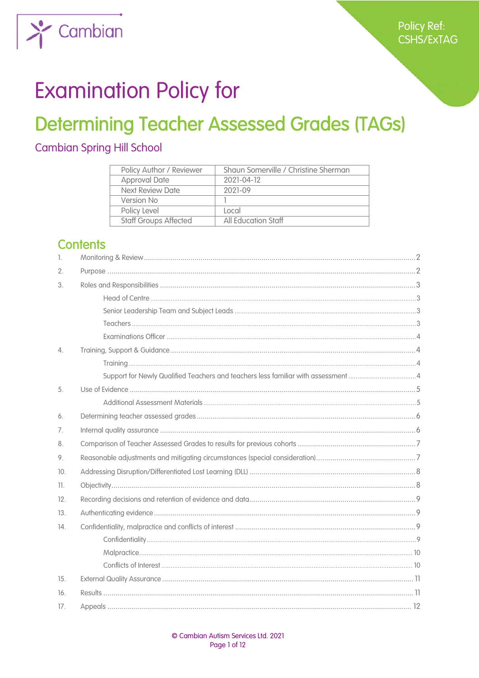

# **Examination Policy for**

## **Determining Teacher Assessed Grades (TAGs)**

### **Cambian Spring Hill School**

| Policy Author / Reviewer     | Shaun Somerville / Christine Sherman |
|------------------------------|--------------------------------------|
| <b>Approval Date</b>         | 2021-04-12                           |
| Next Review Date             | 2021-09                              |
| Version No                   |                                      |
| Policy Level                 | l ocal                               |
| <b>Staff Groups Affected</b> | All Education Staff                  |

## **Contents**

| $\mathbb{I}$ . |  |
|----------------|--|
| 2.             |  |
| 3.             |  |
|                |  |
|                |  |
|                |  |
|                |  |
| 4.             |  |
|                |  |
|                |  |
| 5.             |  |
|                |  |
| 6.             |  |
| 7.             |  |
| 8.             |  |
| 9.             |  |
| 10.            |  |
| 11.            |  |
| 12.            |  |
| 13.            |  |
| 14.            |  |
|                |  |
|                |  |
|                |  |
| 15.            |  |
| 16.            |  |
| 17.            |  |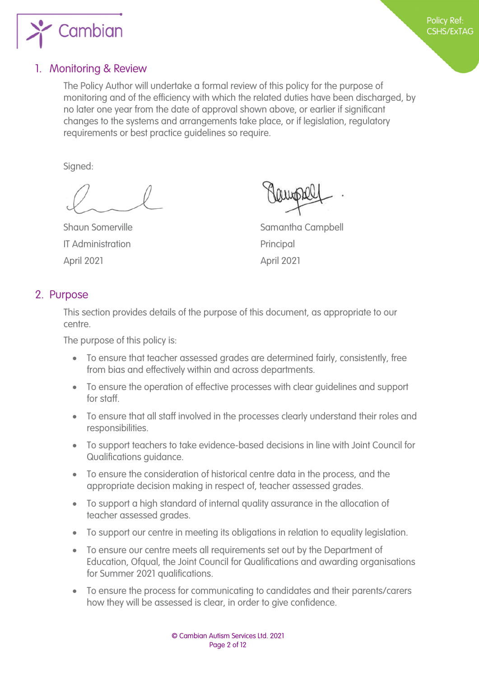

#### <span id="page-1-0"></span>1. Monitoring & Review

The Policy Author will undertake a formal review of this policy for the purpose of monitoring and of the efficiency with which the related duties have been discharged, by no later one year from the date of approval shown above, or earlier if significant changes to the systems and arrangements take place, or if legislation, regulatory requirements or best practice guidelines so require.

Signed:

IT Administration **Principal** April 2021 April 2021

Shaun Somerville Shaun Samantha Campbell

#### <span id="page-1-1"></span>2. Purpose

This section provides details of the purpose of this document, as appropriate to our centre.

The purpose of this policy is:

- To ensure that teacher assessed grades are determined fairly, consistently, free from bias and effectively within and across departments.
- To ensure the operation of effective processes with clear guidelines and support for staff.
- To ensure that all staff involved in the processes clearly understand their roles and responsibilities.
- To support teachers to take evidence-based decisions in line with Joint Council for Qualifications guidance.
- To ensure the consideration of historical centre data in the process, and the appropriate decision making in respect of, teacher assessed grades.
- To support a high standard of internal quality assurance in the allocation of teacher assessed grades.
- To support our centre in meeting its obligations in relation to equality legislation.
- To ensure our centre meets all requirements set out by the Department of Education, Ofqual, the Joint Council for Qualifications and awarding organisations for Summer 2021 qualifications.
- To ensure the process for communicating to candidates and their parents/carers how they will be assessed is clear, in order to give confidence.

Policy Ref: CSHS/ExTAG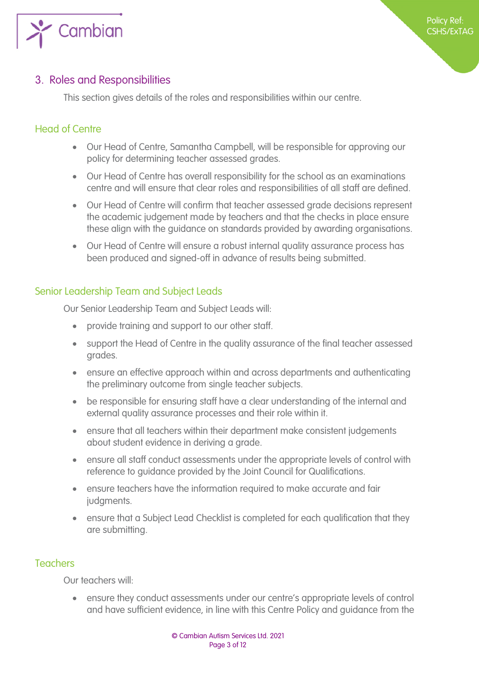

#### <span id="page-2-1"></span>3. Roles and Responsibilities

<span id="page-2-0"></span>This section gives details of the roles and responsibilities within our centre.

#### <span id="page-2-2"></span>Head of Centre

- Our Head of Centre, Samantha Campbell, will be responsible for approving our policy for determining teacher assessed grades.
- Our Head of Centre has overall responsibility for the school as an examinations centre and will ensure that clear roles and responsibilities of all staff are defined.
- Our Head of Centre will confirm that teacher assessed grade decisions represent the academic judgement made by teachers and that the checks in place ensure these align with the guidance on standards provided by awarding organisations.
- Our Head of Centre will ensure a robust internal quality assurance process has been produced and signed-off in advance of results being submitted.

#### <span id="page-2-3"></span>Senior Leadership Team and Subject Leads

Our Senior Leadership Team and Subject Leads will:

- provide training and support to our other staff.
- support the Head of Centre in the quality assurance of the final teacher assessed grades.
- ensure an effective approach within and across departments and authenticating the preliminary outcome from single teacher subjects.
- be responsible for ensuring staff have a clear understanding of the internal and external quality assurance processes and their role within it.
- ensure that all teachers within their department make consistent judgements about student evidence in deriving a grade.
- ensure all staff conduct assessments under the appropriate levels of control with reference to guidance provided by the Joint Council for Qualifications.
- ensure teachers have the information required to make accurate and fair judgments.
- ensure that a Subject Lead Checklist is completed for each qualification that they are submitting.

#### <span id="page-2-4"></span>Teachers

Our teachers will:

 ensure they conduct assessments under our centre's appropriate levels of control and have sufficient evidence, in line with this Centre Policy and guidance from the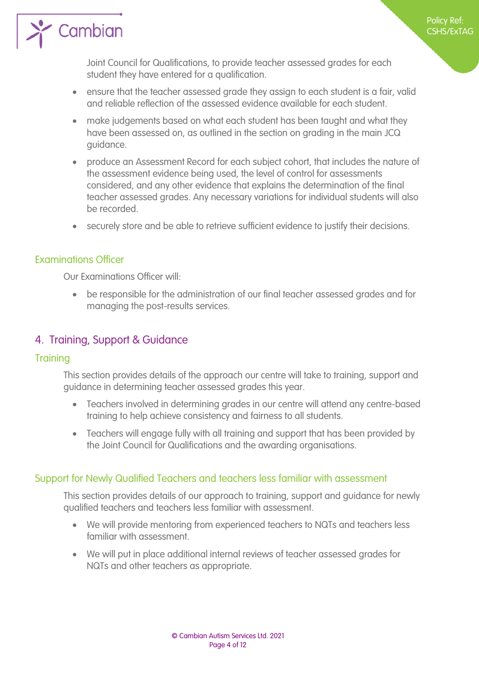

Joint Council for Qualifications, to provide teacher assessed grades for each student they have entered for a qualification.

- ensure that the teacher assessed grade they assign to each student is a fair, valid and reliable reflection of the assessed evidence available for each student.
- make judgements based on what each student has been taught and what they have been assessed on, as outlined in the section on grading in the main JCQ guidance.
- produce an Assessment Record for each subject cohort, that includes the nature of the assessment evidence being used, the level of control for assessments considered, and any other evidence that explains the determination of the final teacher assessed grades. Any necessary variations for individual students will also be recorded.
- securely store and be able to retrieve sufficient evidence to justify their decisions.

#### <span id="page-3-0"></span>Examinations Officer

 $\sum_{i=1}^{\infty}$  Cambian

Our Examinations Officer will:

 be responsible for the administration of our final teacher assessed grades and for managing the post-results services.

#### <span id="page-3-1"></span>4. Training, Support & Guidance

#### <span id="page-3-2"></span>**Training**

This section provides details of the approach our centre will take to training, support and guidance in determining teacher assessed grades this year.

- Teachers involved in determining grades in our centre will attend any centre-based training to help achieve consistency and fairness to all students.
- Teachers will engage fully with all training and support that has been provided by the Joint Council for Qualifications and the awarding organisations.

#### <span id="page-3-3"></span>Support for Newly Qualified Teachers and teachers less familiar with assessment

This section provides details of our approach to training, support and guidance for newly qualified teachers and teachers less familiar with assessment.

- We will provide mentoring from experienced teachers to NQTs and teachers less familiar with assessment.
- We will put in place additional internal reviews of teacher assessed grades for NQTs and other teachers as appropriate.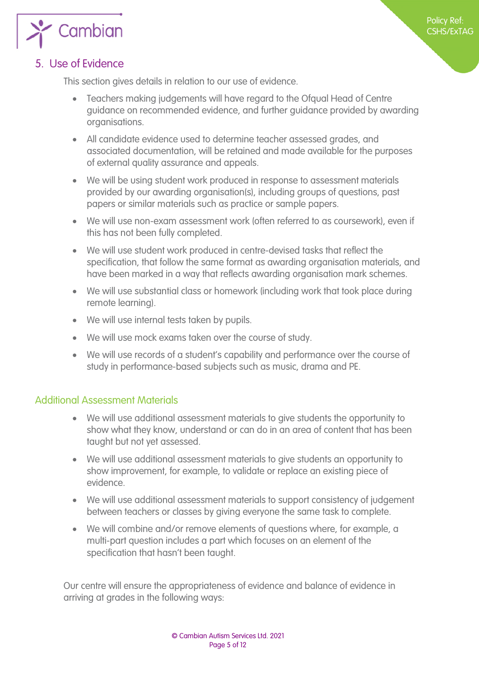

#### <span id="page-4-0"></span>5. Use of Evidence

This section gives details in relation to our use of evidence.

- Teachers making judgements will have regard to the Ofqual Head of Centre guidance on recommended evidence, and further guidance provided by awarding organisations.
- All candidate evidence used to determine teacher assessed grades, and associated documentation, will be retained and made available for the purposes of external quality assurance and appeals.
- We will be using student work produced in response to assessment materials provided by our awarding organisation(s), including groups of questions, past papers or similar materials such as practice or sample papers.
- We will use non-exam assessment work (often referred to as coursework), even if this has not been fully completed.
- We will use student work produced in centre-devised tasks that reflect the specification, that follow the same format as awarding organisation materials, and have been marked in a way that reflects awarding organisation mark schemes.
- We will use substantial class or homework (including work that took place during remote learning).
- We will use internal tests taken by pupils.
- We will use mock exams taken over the course of study.
- We will use records of a student's capability and performance over the course of study in performance-based subjects such as music, drama and PE.

#### <span id="page-4-1"></span>Additional Assessment Materials

- We will use additional assessment materials to give students the opportunity to show what they know, understand or can do in an area of content that has been taught but not yet assessed.
- We will use additional assessment materials to give students an opportunity to show improvement, for example, to validate or replace an existing piece of evidence.
- We will use additional assessment materials to support consistency of judgement between teachers or classes by giving everyone the same task to complete.
- We will combine and/or remove elements of questions where, for example, a multi-part question includes a part which focuses on an element of the specification that hasn't been taught.

Our centre will ensure the appropriateness of evidence and balance of evidence in arriving at grades in the following ways: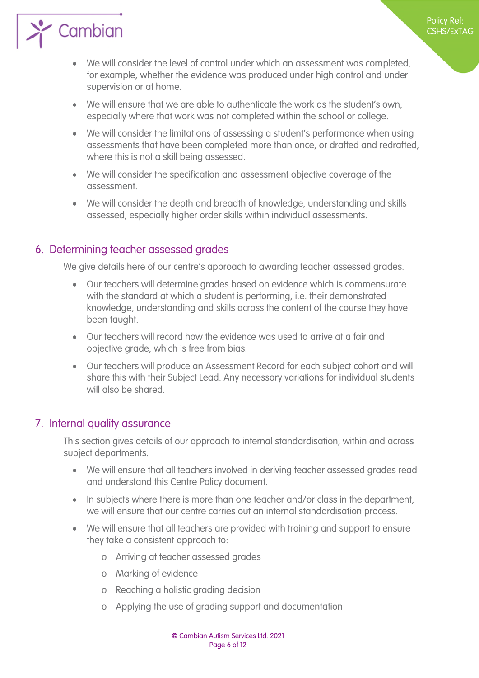

- We will consider the level of control under which an assessment was completed, for example, whether the evidence was produced under high control and under supervision or at home.
- We will ensure that we are able to authenticate the work as the student's own, especially where that work was not completed within the school or college.
- We will consider the limitations of assessing a student's performance when using assessments that have been completed more than once, or drafted and redrafted, where this is not a skill being assessed.
- We will consider the specification and assessment objective coverage of the assessment.
- We will consider the depth and breadth of knowledge, understanding and skills assessed, especially higher order skills within individual assessments.

#### <span id="page-5-0"></span>6. Determining teacher assessed grades

We give details here of our centre's approach to awarding teacher assessed grades.

- Our teachers will determine grades based on evidence which is commensurate with the standard at which a student is performing, i.e. their demonstrated knowledge, understanding and skills across the content of the course they have been taught.
- Our teachers will record how the evidence was used to arrive at a fair and objective grade, which is free from bias.
- Our teachers will produce an Assessment Record for each subject cohort and will share this with their Subject Lead. Any necessary variations for individual students will also be shared.

#### <span id="page-5-1"></span>7. Internal quality assurance

This section gives details of our approach to internal standardisation, within and across subject departments.

- We will ensure that all teachers involved in deriving teacher assessed grades read and understand this Centre Policy document.
- In subjects where there is more than one teacher and/or class in the department, we will ensure that our centre carries out an internal standardisation process.
- We will ensure that all teachers are provided with training and support to ensure they take a consistent approach to:
	- o Arriving at teacher assessed grades
	- o Marking of evidence
	- o Reaching a holistic grading decision
	- o Applying the use of grading support and documentation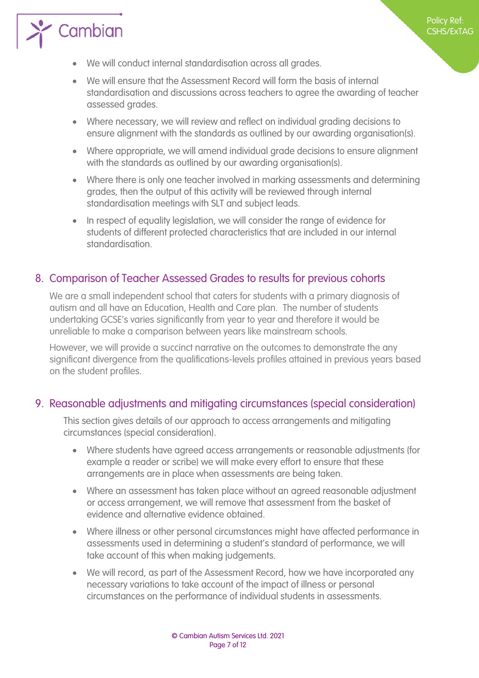



 $\sum$  Cambian

- We will ensure that the Assessment Record will form the basis of internal standardisation and discussions across teachers to agree the awarding of teacher assessed grades.
- Where necessary, we will review and reflect on individual grading decisions to ensure alignment with the standards as outlined by our awarding organisation(s).
- Where appropriate, we will amend individual grade decisions to ensure alignment with the standards as outlined by our awarding organisation(s).
- Where there is only one teacher involved in marking assessments and determining grades, then the output of this activity will be reviewed through internal standardisation meetings with SLT and subject leads.
- In respect of equality legislation, we will consider the range of evidence for students of different protected characteristics that are included in our internal standardisation.

#### <span id="page-6-1"></span>8. Comparison of Teacher Assessed Grades to results for previous cohorts

<span id="page-6-0"></span>We are a small independent school that caters for students with a primary diagnosis of autism and all have an Education, Health and Care plan. The number of students undertaking GCSE's varies significantly from year to year and therefore it would be unreliable to make a comparison between years like mainstream schools.

However, we will provide a succinct narrative on the outcomes to demonstrate the any significant divergence from the qualifications-levels profiles attained in previous years based on the student profiles.

#### <span id="page-6-2"></span>9. Reasonable adjustments and mitigating circumstances (special consideration)

This section gives details of our approach to access arrangements and mitigating circumstances (special consideration).

- Where students have agreed access arrangements or reasonable adjustments (for example a reader or scribe) we will make every effort to ensure that these arrangements are in place when assessments are being taken.
- Where an assessment has taken place without an agreed reasonable adjustment or access arrangement, we will remove that assessment from the basket of evidence and alternative evidence obtained.
- Where illness or other personal circumstances might have affected performance in assessments used in determining a student's standard of performance, we will take account of this when making judgements.
- We will record, as part of the Assessment Record, how we have incorporated any necessary variations to take account of the impact of illness or personal circumstances on the performance of individual students in assessments.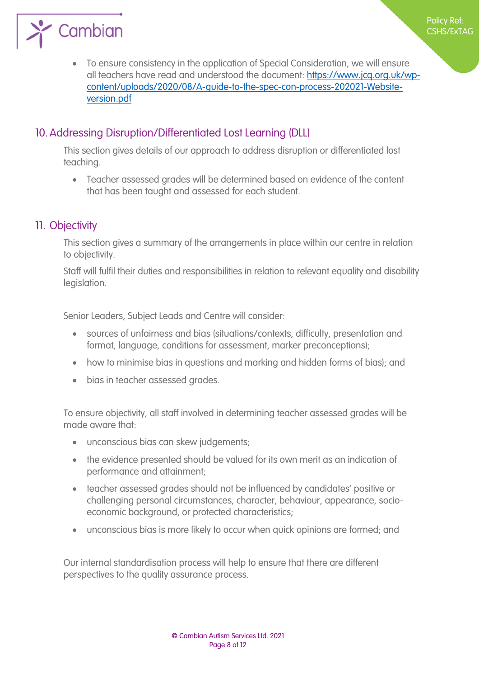

 To ensure consistency in the application of Special Consideration, we will ensure [all teachers have read and understood the document: https://www.jcq.org.uk/wp](https://www.jcq.org.uk/wp-content/uploads/2020/08/A-guide-to-the-spec-con-process-202021-Website-version.pdf)content/uploads/2020/08/A-guide-to-the-spec-con-process-202021-Website[version.pdf](https://www.jcq.org.uk/wp-content/uploads/2020/08/A-guide-to-the-spec-con-process-202021-Website-version.pdf)

Policy Ref: CSHS/ExTAG

#### <span id="page-7-0"></span>10.Addressing Disruption/Differentiated Lost Learning (DLL)

This section gives details of our approach to address disruption or differentiated lost teaching.

 Teacher assessed grades will be determined based on evidence of the content that has been taught and assessed for each student.

#### <span id="page-7-1"></span>11. Objectivity

This section gives a summary of the arrangements in place within our centre in relation to objectivity.

Staff will fulfil their duties and responsibilities in relation to relevant equality and disability legislation.

Senior Leaders, Subject Leads and Centre will consider:

- sources of unfairness and bias (situations/contexts, difficulty, presentation and format, language, conditions for assessment, marker preconceptions);
- how to minimise bias in questions and marking and hidden forms of bias); and
- bias in teacher assessed grades.

To ensure objectivity, all staff involved in determining teacher assessed grades will be made aware that:

- unconscious bias can skew judgements;
- the evidence presented should be valued for its own merit as an indication of performance and attainment;
- teacher assessed grades should not be influenced by candidates' positive or challenging personal circumstances, character, behaviour, appearance, socioeconomic background, or protected characteristics;
- unconscious bias is more likely to occur when quick opinions are formed; and

Our internal standardisation process will help to ensure that there are different perspectives to the quality assurance process.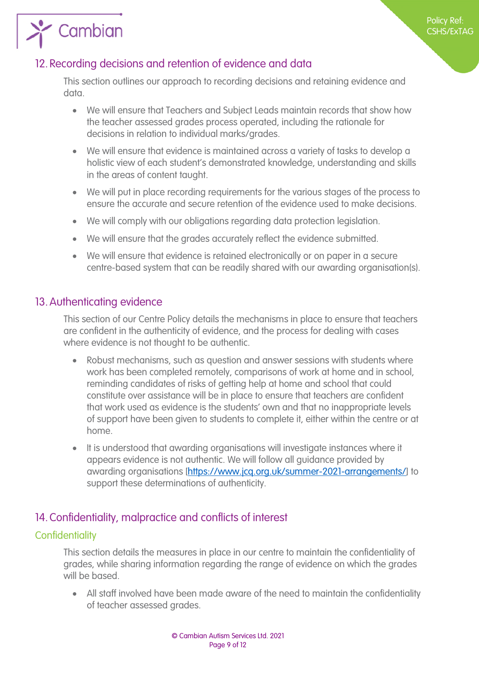

#### <span id="page-8-1"></span>12. Recording decisions and retention of evidence and data

<span id="page-8-0"></span>This section outlines our approach to recording decisions and retaining evidence and data.

- We will ensure that Teachers and Subject Leads maintain records that show how the teacher assessed grades process operated, including the rationale for decisions in relation to individual marks/grades.
- We will ensure that evidence is maintained across a variety of tasks to develop a holistic view of each student's demonstrated knowledge, understanding and skills in the areas of content taught.
- We will put in place recording requirements for the various stages of the process to ensure the accurate and secure retention of the evidence used to make decisions.
- We will comply with our obligations regarding data protection legislation.
- We will ensure that the grades accurately reflect the evidence submitted.
- We will ensure that evidence is retained electronically or on paper in a secure centre-based system that can be readily shared with our awarding organisation(s).

#### <span id="page-8-2"></span>13.Authenticating evidence

This section of our Centre Policy details the mechanisms in place to ensure that teachers are confident in the authenticity of evidence, and the process for dealing with cases where evidence is not thought to be authentic.

- Robust mechanisms, such as question and answer sessions with students where work has been completed remotely, comparisons of work at home and in school, reminding candidates of risks of getting help at home and school that could constitute over assistance will be in place to ensure that teachers are confident that work used as evidence is the students' own and that no inappropriate levels of support have been given to students to complete it, either within the centre or at home.
- It is understood that awarding organisations will investigate instances where it appears evidence is not [authentic. We will follow all guidance provided by](https://www.jcq.org.uk/summer-2021-arrangements/)  awarding organisations [https://www.jcq.org.uk/summer-2021-arrangements/] to support these determinations of authenticity.

#### <span id="page-8-3"></span>14.Confidentiality, malpractice and conflicts of interest

#### <span id="page-8-4"></span>**Confidentiality**

This section details the measures in place in our centre to maintain the confidentiality of grades, while sharing information regarding the range of evidence on which the grades will be based.

 All staff involved have been made aware of the need to maintain the confidentiality of teacher assessed grades.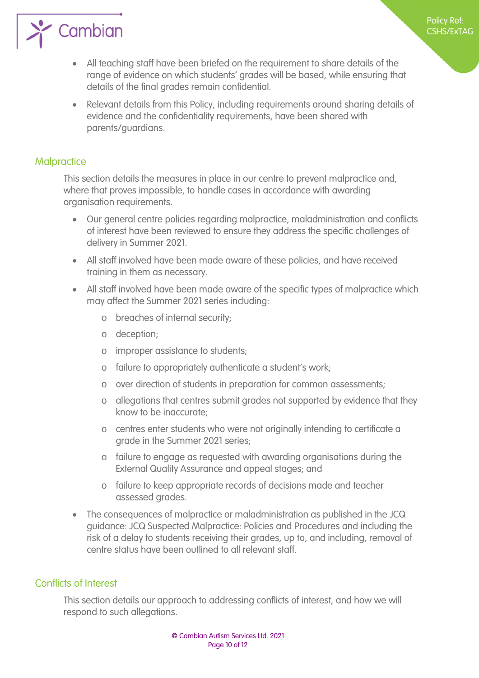

 All teaching staff have been briefed on the requirement to share details of the range of evidence on which students' grades will be based, while ensuring that details of the final grades remain confidential.

Policy Ref: CSHS/ExTAG

 Relevant details from this Policy, including requirements around sharing details of evidence and the confidentiality requirements, have been shared with parents/guardians.

#### <span id="page-9-0"></span>**Malpractice**

This section details the measures in place in our centre to prevent malpractice and, where that proves impossible, to handle cases in accordance with awarding organisation requirements.

- Our general centre policies regarding malpractice, maladministration and conflicts of interest have been reviewed to ensure they address the specific challenges of delivery in Summer 2021.
- All staff involved have been made aware of these policies, and have received training in them as necessary.
- All staff involved have been made aware of the specific types of malpractice which may affect the Summer 2021 series including:
	- o breaches of internal security;
	- o deception;
	- o improper assistance to students;
	- o failure to appropriately authenticate a student's work;
	- o over direction of students in preparation for common assessments;
	- o allegations that centres submit grades not supported by evidence that they know to be inaccurate;
	- o centres enter students who were not originally intending to certificate a grade in the Summer 2021 series;
	- o failure to engage as requested with awarding organisations during the External Quality Assurance and appeal stages; and
	- o failure to keep appropriate records of decisions made and teacher assessed grades.
- The consequences of malpractice or maladministration as published in the JCQ guidance: JCQ Suspected Malpractice: Policies and Procedures and including the risk of a delay to students receiving their grades, up to, and including, removal of centre status have been outlined to all relevant staff.

#### <span id="page-9-1"></span>Conflicts of Interest

This section details our approach to addressing conflicts of interest, and how we will respond to such allegations.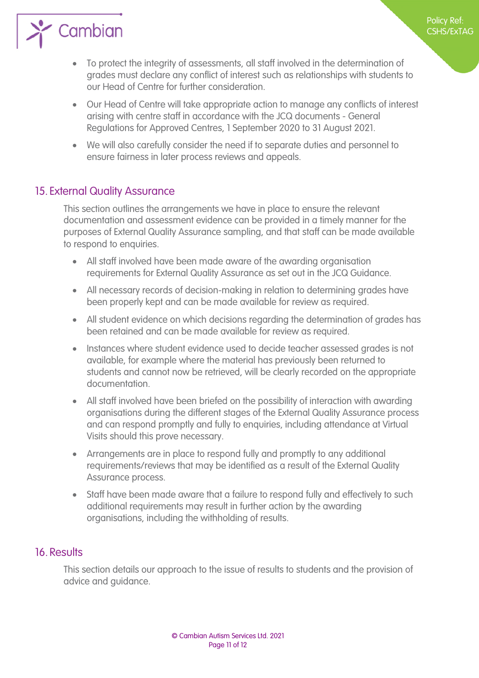

 To protect the integrity of assessments, all staff involved in the determination of grades must declare any conflict of interest such as relationships with students to our Head of Centre for further consideration.

Policy Ref: CSHS/ExTAG

- Our Head of Centre will take appropriate action to manage any conflicts of interest arising with centre staff in accordance with the JCQ documents - General Regulations for Approved Centres, 1 September 2020 to 31 August 2021.
- We will also carefully consider the need if to separate duties and personnel to ensure fairness in later process reviews and appeals.

#### <span id="page-10-0"></span>15. External Quality Assurance

This section outlines the arrangements we have in place to ensure the relevant documentation and assessment evidence can be provided in a timely manner for the purposes of External Quality Assurance sampling, and that staff can be made available to respond to enquiries.

- All staff involved have been made aware of the awarding organisation requirements for External Quality Assurance as set out in the JCQ Guidance.
- All necessary records of decision-making in relation to determining grades have been properly kept and can be made available for review as required.
- All student evidence on which decisions regarding the determination of grades has been retained and can be made available for review as required.
- Instances where student evidence used to decide teacher assessed grades is not available, for example where the material has previously been returned to students and cannot now be retrieved, will be clearly recorded on the appropriate documentation.
- All staff involved have been briefed on the possibility of interaction with awarding organisations during the different stages of the External Quality Assurance process and can respond promptly and fully to enquiries, including attendance at Virtual Visits should this prove necessary.
- Arrangements are in place to respond fully and promptly to any additional requirements/reviews that may be identified as a result of the External Quality Assurance process.
- Staff have been made aware that a failure to respond fully and effectively to such additional requirements may result in further action by the awarding organisations, including the withholding of results.

#### <span id="page-10-1"></span>16. Results

This section details our approach to the issue of results to students and the provision of advice and guidance.